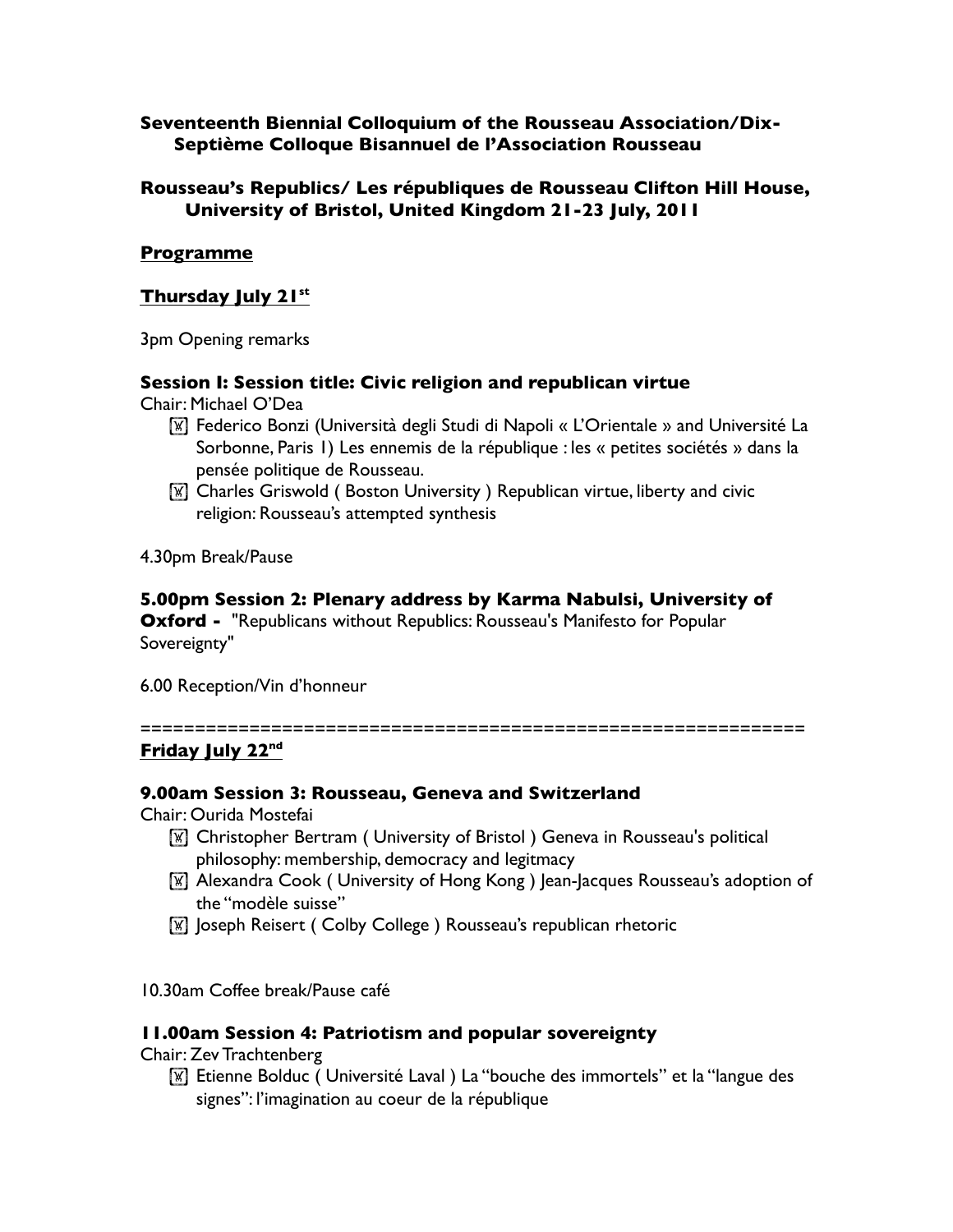## **Seventeenth Biennial Colloquium of the Rousseau Association/Dix-Septième Colloque Bisannuel de l'Association Rousseau**

## **Rousseau's Republics/ Les républiques de Rousseau Clifton Hill House, University of Bristol, United Kingdom 21-23 July, 2011**

## **Programme**

## **Thursday July 21st**

3pm Opening remarks

## **Session I: Session title: Civic religion and republican virtue**

Chair: Michael O'Dea

- ! Federico Bonzi (Università degli Studi di Napoli « L'Orientale » and Université La Sorbonne, Paris 1) Les ennemis de la république : les « petites sociétés » dans la pensée politique de Rousseau.
- **If Charles Griswold (Boston University ) Republican virtue, liberty and civic** religion: Rousseau's attempted synthesis

4.30pm Break/Pause

#### **5.00pm Session 2: Plenary address by Karma Nabulsi, University of**

**Oxford -** "Republicans without Republics: Rousseau's Manifesto for Popular Sovereignty"

6.00 Reception/Vin d'honneur

=============================================================

## **Friday July 22nd**

#### **9.00am Session 3: Rousseau, Geneva and Switzerland**

Chair: Ourida Mostefai

- ! Christopher Bertram ( University of Bristol ) Geneva in Rousseau's political philosophy: membership, democracy and legitmacy
- **IX** Alexandra Cook ( University of Hong Kong ) Jean-Jacques Rousseau's adoption of the "modèle suisse"
- **IX** Joseph Reisert ( Colby College ) Rousseau's republican rhetoric
- 10.30am Coffee break/Pause café

#### **11.00am Session 4: Patriotism and popular sovereignty**

Chair: Zev Trachtenberg

**If Etienne Bolduc ( Université Laval ) La "bouche des immortels" et la "langue des** signes": l'imagination au coeur de la république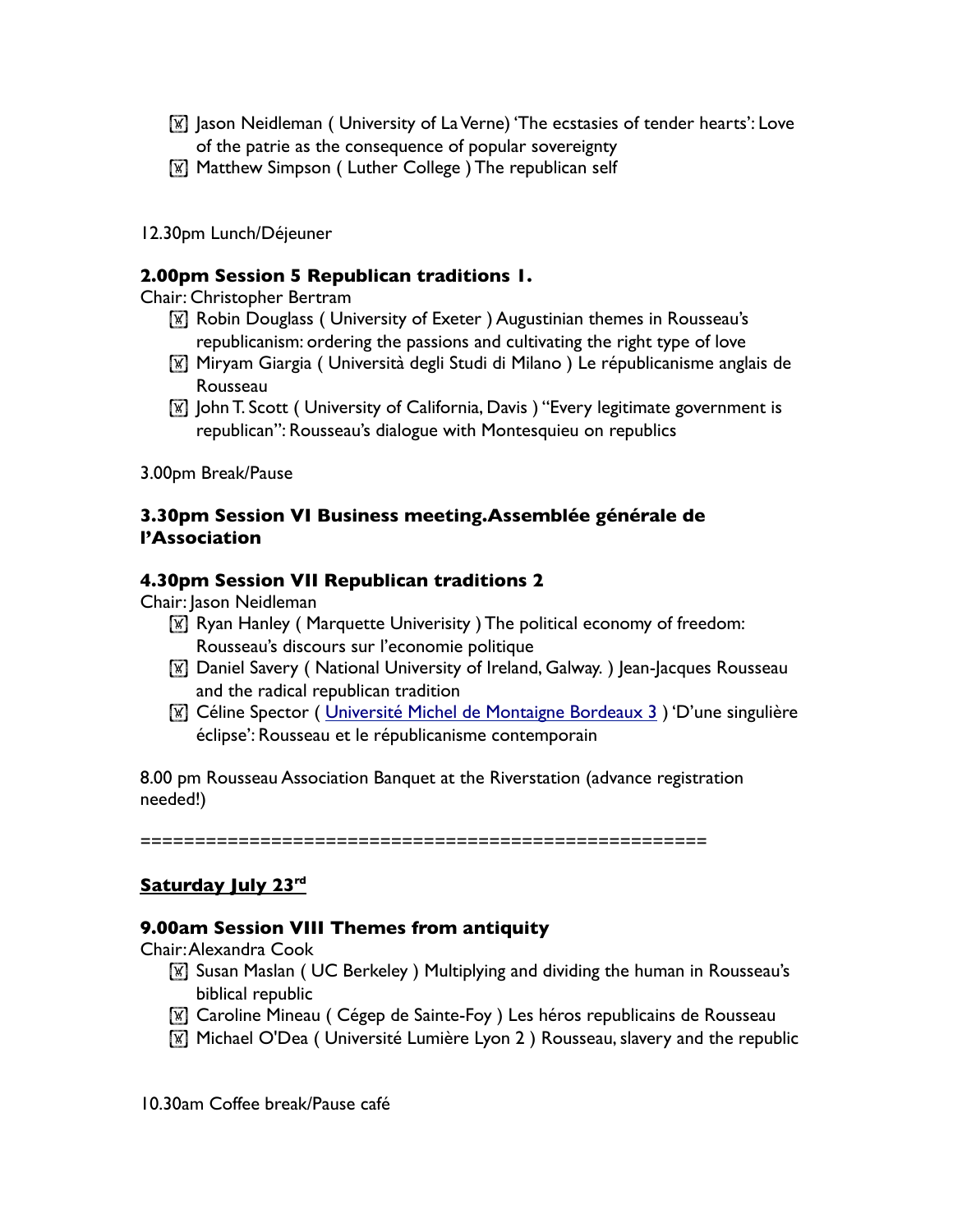- $\mathbb{F}$  ason Neidleman ( University of La Verne) 'The ecstasies of tender hearts': Love of the patrie as the consequence of popular sovereignty
- **Matthew Simpson ( Luther College ) The republican self**
- 12.30pm Lunch/Déjeuner

#### **2.00pm Session 5 Republican traditions 1.**

Chair: Christopher Bertram

- **[W]** Robin Douglass ( University of Exeter ) Augustinian themes in Rousseau's republicanism: ordering the passions and cultivating the right type of love
- ! Miryam Giargia ( Università degli Studi di Milano ) Le républicanisme anglais de Rousseau
- ! John T. Scott ( University of California, Davis ) "Every legitimate government is republican": Rousseau's dialogue with Montesquieu on republics

3.00pm Break/Pause

## **3.30pm Session VI Business meeting.Assemblée générale de l'Association**

#### **4.30pm Session VII Republican traditions 2**

Chair: Jason Neidleman

- **IX Ryan Hanley (Marquette Univerisity ) The political economy of freedom:** Rousseau's discours sur l'economie politique
- ! Daniel Savery ( National University of Ireland, Galway. ) Jean-Jacques Rousseau and the radical republican tradition
- ! Céline Spector ( Université Michel de Montaigne Bordeaux 3 ) 'D'une singulière éclipse': Rousseau et le républicanisme contemporain

8.00 pm Rousseau Association Banquet at the Riverstation (advance registration needed!)

====================================================

## Saturday July 23rd

#### **9.00am Session VIII Themes from antiquity**

Chair: Alexandra Cook

- **If Susan Maslan ( UC Berkeley ) Multiplying and dividing the human in Rousseau's** biblical republic
- ! Caroline Mineau ( Cégep de Sainte-Foy ) Les héros republicains de Rousseau
- ! Michael O'Dea ( Université Lumière Lyon 2 ) Rousseau, slavery and the republic

10.30am Coffee break/Pause café